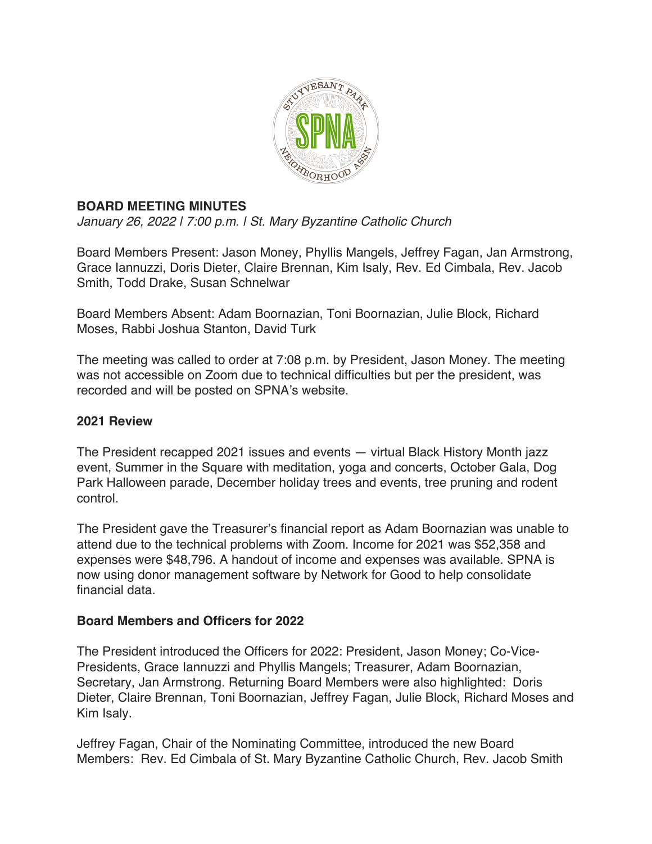

# **BOARD MEETING MINUTES**

*January 26, 2022 | 7:00 p.m. | St. Mary Byzantine Catholic Church*

Board Members Present: Jason Money, Phyllis Mangels, Jeffrey Fagan, Jan Armstrong, Grace Iannuzzi, Doris Dieter, Claire Brennan, Kim Isaly, Rev. Ed Cimbala, Rev. Jacob Smith, Todd Drake, Susan Schnelwar

Board Members Absent: Adam Boornazian, Toni Boornazian, Julie Block, Richard Moses, Rabbi Joshua Stanton, David Turk

The meeting was called to order at 7:08 p.m. by President, Jason Money. The meeting was not accessible on Zoom due to technical difficulties but per the president, was recorded and will be posted on SPNA's website.

### **2021 Review**

The President recapped 2021 issues and events — virtual Black History Month jazz event, Summer in the Square with meditation, yoga and concerts, October Gala, Dog Park Halloween parade, December holiday trees and events, tree pruning and rodent control.

The President gave the Treasurer's financial report as Adam Boornazian was unable to attend due to the technical problems with Zoom. Income for 2021 was \$52,358 and expenses were \$48,796. A handout of income and expenses was available. SPNA is now using donor management software by Network for Good to help consolidate financial data.

## **Board Members and Officers for 2022**

The President introduced the Officers for 2022: President, Jason Money; Co-Vice-Presidents, Grace Iannuzzi and Phyllis Mangels; Treasurer, Adam Boornazian, Secretary, Jan Armstrong. Returning Board Members were also highlighted: Doris Dieter, Claire Brennan, Toni Boornazian, Jeffrey Fagan, Julie Block, Richard Moses and Kim Isaly.

Jeffrey Fagan, Chair of the Nominating Committee, introduced the new Board Members: Rev. Ed Cimbala of St. Mary Byzantine Catholic Church, Rev. Jacob Smith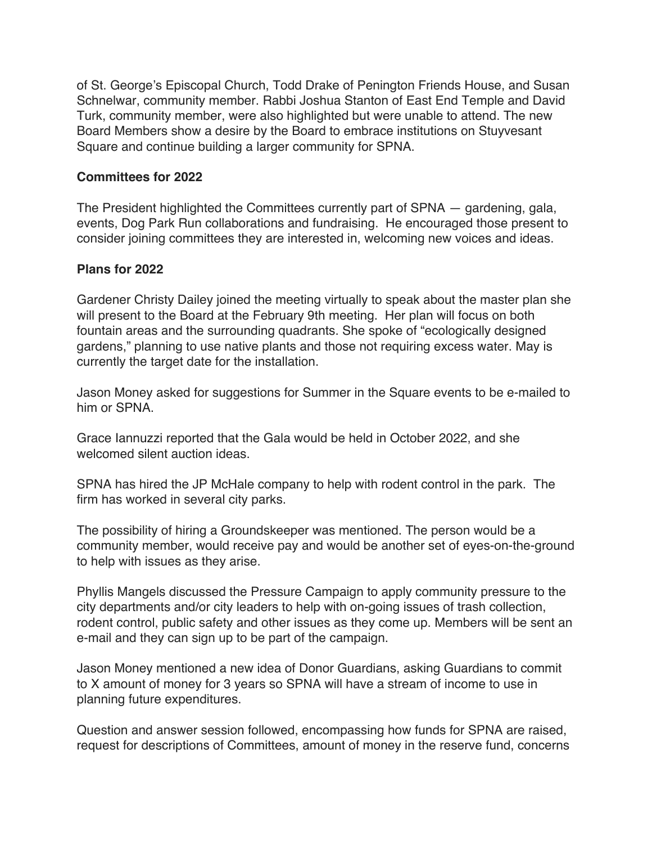of St. George's Episcopal Church, Todd Drake of Penington Friends House, and Susan Schnelwar, community member. Rabbi Joshua Stanton of East End Temple and David Turk, community member, were also highlighted but were unable to attend. The new Board Members show a desire by the Board to embrace institutions on Stuyvesant Square and continue building a larger community for SPNA.

#### **Committees for 2022**

The President highlighted the Committees currently part of SPNA — gardening, gala, events, Dog Park Run collaborations and fundraising. He encouraged those present to consider joining committees they are interested in, welcoming new voices and ideas.

### **Plans for 2022**

Gardener Christy Dailey joined the meeting virtually to speak about the master plan she will present to the Board at the February 9th meeting. Her plan will focus on both fountain areas and the surrounding quadrants. She spoke of "ecologically designed gardens," planning to use native plants and those not requiring excess water. May is currently the target date for the installation.

Jason Money asked for suggestions for Summer in the Square events to be e-mailed to him or SPNA.

Grace Iannuzzi reported that the Gala would be held in October 2022, and she welcomed silent auction ideas.

SPNA has hired the JP McHale company to help with rodent control in the park. The firm has worked in several city parks.

The possibility of hiring a Groundskeeper was mentioned. The person would be a community member, would receive pay and would be another set of eyes-on-the-ground to help with issues as they arise.

Phyllis Mangels discussed the Pressure Campaign to apply community pressure to the city departments and/or city leaders to help with on-going issues of trash collection, rodent control, public safety and other issues as they come up. Members will be sent an e-mail and they can sign up to be part of the campaign.

Jason Money mentioned a new idea of Donor Guardians, asking Guardians to commit to X amount of money for 3 years so SPNA will have a stream of income to use in planning future expenditures.

Question and answer session followed, encompassing how funds for SPNA are raised, request for descriptions of Committees, amount of money in the reserve fund, concerns